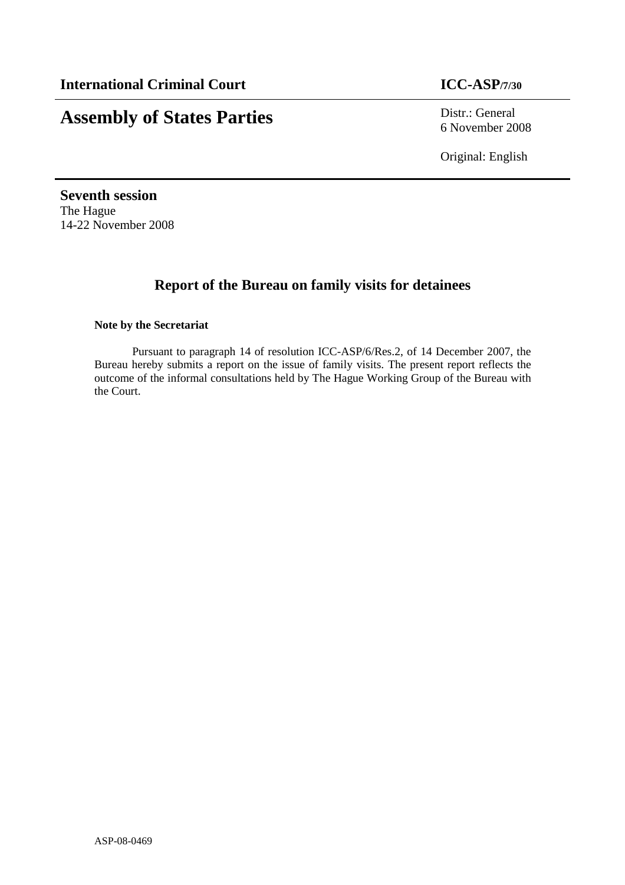# **Assembly of States Parties** Distr.: General

6 November 2008

Original: English

**Seventh session**  The Hague 14-22 November 2008

## **Report of the Bureau on family visits for detainees**

### **Note by the Secretariat**

Pursuant to paragraph 14 of resolution ICC-ASP/6/Res.2, of 14 December 2007, the Bureau hereby submits a report on the issue of family visits. The present report reflects the outcome of the informal consultations held by The Hague Working Group of the Bureau with the Court.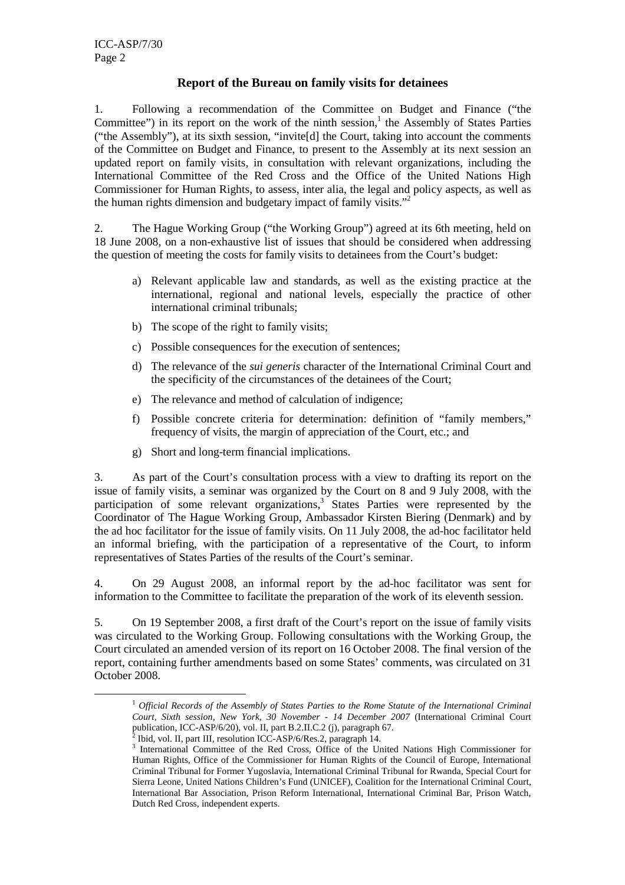$\overline{a}$ 

### **Report of the Bureau on family visits for detainees**

1. Following a recommendation of the Committee on Budget and Finance ("the Committee") in its report on the work of the ninth session,<sup>1</sup> the Assembly of States Parties ("the Assembly"), at its sixth session, "invite[d] the Court, taking into account the comments of the Committee on Budget and Finance, to present to the Assembly at its next session an updated report on family visits, in consultation with relevant organizations, including the International Committee of the Red Cross and the Office of the United Nations High Commissioner for Human Rights, to assess, inter alia, the legal and policy aspects, as well as the human rights dimension and budgetary impact of family visits."<sup>2</sup>

2. The Hague Working Group ("the Working Group") agreed at its 6th meeting, held on 18 June 2008, on a non-exhaustive list of issues that should be considered when addressing the question of meeting the costs for family visits to detainees from the Court's budget:

- a) Relevant applicable law and standards, as well as the existing practice at the international, regional and national levels, especially the practice of other international criminal tribunals;
- b) The scope of the right to family visits;
- c) Possible consequences for the execution of sentences;
- d) The relevance of the *sui generis* character of the International Criminal Court and the specificity of the circumstances of the detainees of the Court;
- e) The relevance and method of calculation of indigence;
- f) Possible concrete criteria for determination: definition of "family members," frequency of visits, the margin of appreciation of the Court, etc.; and
- g) Short and long-term financial implications.

3. As part of the Court's consultation process with a view to drafting its report on the issue of family visits, a seminar was organized by the Court on 8 and 9 July 2008, with the participation of some relevant organizations,<sup>3</sup> States Parties were represented by the Coordinator of The Hague Working Group, Ambassador Kirsten Biering (Denmark) and by the ad hoc facilitator for the issue of family visits. On 11 July 2008, the ad-hoc facilitator held an informal briefing, with the participation of a representative of the Court, to inform representatives of States Parties of the results of the Court's seminar.

4. On 29 August 2008, an informal report by the ad-hoc facilitator was sent for information to the Committee to facilitate the preparation of the work of its eleventh session.

5. On 19 September 2008, a first draft of the Court's report on the issue of family visits was circulated to the Working Group. Following consultations with the Working Group, the Court circulated an amended version of its report on 16 October 2008. The final version of the report, containing further amendments based on some States' comments, was circulated on 31 October 2008.

<sup>1</sup> *Official Records of the Assembly of States Parties to the Rome Statute of the International Criminal Court, Sixth session, New York, 30 November - 14 December 2007* (International Criminal Court publication, ICC-ASP/6/20), vol. II, part B.2.II.C.2 (j), paragraph 67.<br><sup>2</sup> Ibid. vol. II, part III, resolution ICC, ASP/6/Pes. 2, paragraph 14.

<sup>&</sup>lt;sup>2</sup> Ibid, vol. II, part III, resolution ICC-ASP/6/Res.2, paragraph  $14$ .

<sup>&</sup>lt;sup>3</sup> International Committee of the Red Cross, Office of the United Nations High Commissioner for Human Rights, Office of the Commissioner for Human Rights of the Council of Europe, International Criminal Tribunal for Former Yugoslavia, International Criminal Tribunal for Rwanda, Special Court for Sierra Leone, United Nations Children's Fund (UNICEF), Coalition for the International Criminal Court, International Bar Association, Prison Reform International, International Criminal Bar, Prison Watch, Dutch Red Cross, independent experts.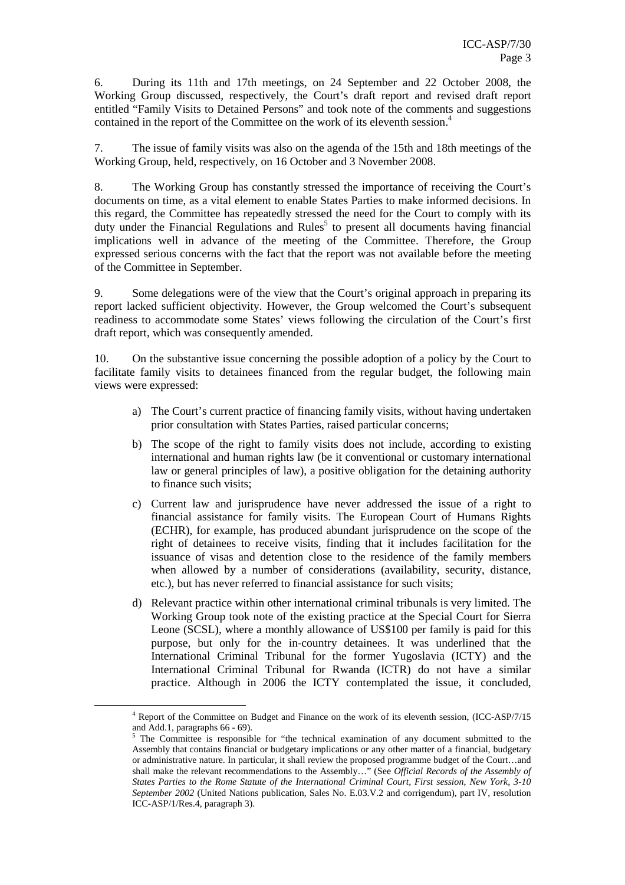6. During its 11th and 17th meetings, on 24 September and 22 October 2008, the Working Group discussed, respectively, the Court's draft report and revised draft report entitled "Family Visits to Detained Persons" and took note of the comments and suggestions contained in the report of the Committee on the work of its eleventh session.<sup>4</sup>

7. The issue of family visits was also on the agenda of the 15th and 18th meetings of the Working Group, held, respectively, on 16 October and 3 November 2008.

8. The Working Group has constantly stressed the importance of receiving the Court's documents on time, as a vital element to enable States Parties to make informed decisions. In this regard, the Committee has repeatedly stressed the need for the Court to comply with its duty under the Financial Regulations and Rules<sup>5</sup> to present all documents having financial implications well in advance of the meeting of the Committee. Therefore, the Group expressed serious concerns with the fact that the report was not available before the meeting of the Committee in September.

9. Some delegations were of the view that the Court's original approach in preparing its report lacked sufficient objectivity. However, the Group welcomed the Court's subsequent readiness to accommodate some States' views following the circulation of the Court's first draft report, which was consequently amended.

10. On the substantive issue concerning the possible adoption of a policy by the Court to facilitate family visits to detainees financed from the regular budget, the following main views were expressed:

- a) The Court's current practice of financing family visits, without having undertaken prior consultation with States Parties, raised particular concerns;
- b) The scope of the right to family visits does not include, according to existing international and human rights law (be it conventional or customary international law or general principles of law), a positive obligation for the detaining authority to finance such visits;
- c) Current law and jurisprudence have never addressed the issue of a right to financial assistance for family visits. The European Court of Humans Rights (ECHR), for example, has produced abundant jurisprudence on the scope of the right of detainees to receive visits, finding that it includes facilitation for the issuance of visas and detention close to the residence of the family members when allowed by a number of considerations (availability, security, distance, etc.), but has never referred to financial assistance for such visits;
- d) Relevant practice within other international criminal tribunals is very limited. The Working Group took note of the existing practice at the Special Court for Sierra Leone (SCSL), where a monthly allowance of US\$100 per family is paid for this purpose, but only for the in-country detainees. It was underlined that the International Criminal Tribunal for the former Yugoslavia (ICTY) and the International Criminal Tribunal for Rwanda (ICTR) do not have a similar practice. Although in 2006 the ICTY contemplated the issue, it concluded,

 $\overline{a}$ 

<sup>4</sup> Report of the Committee on Budget and Finance on the work of its eleventh session, (ICC-ASP/7/15 and Add.1, paragraphs 66 - 69).

 $5$  The Committee is responsible for "the technical examination of any document submitted to the Assembly that contains financial or budgetary implications or any other matter of a financial, budgetary or administrative nature. In particular, it shall review the proposed programme budget of the Court…and shall make the relevant recommendations to the Assembly…" (See *Official Records of the Assembly of States Parties to the Rome Statute of the International Criminal Court, First session, New York, 3-10 September 2002* (United Nations publication, Sales No. E.03.V.2 and corrigendum), part IV, resolution ICC-ASP/1/Res.4, paragraph 3).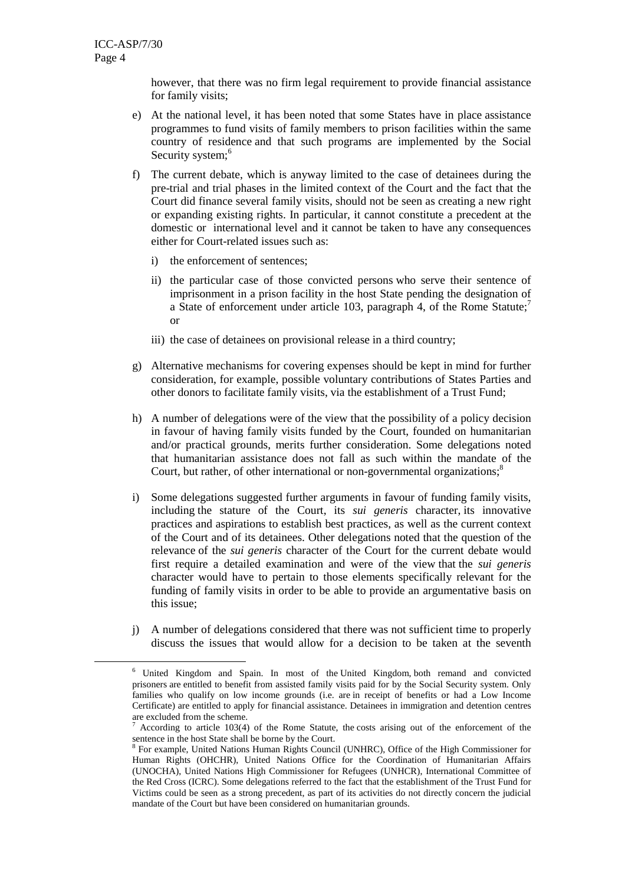$\overline{a}$ 

however, that there was no firm legal requirement to provide financial assistance for family visits;

- e) At the national level, it has been noted that some States have in place assistance programmes to fund visits of family members to prison facilities within the same country of residence and that such programs are implemented by the Social Security system;<sup>6</sup>
- f) The current debate, which is anyway limited to the case of detainees during the pre-trial and trial phases in the limited context of the Court and the fact that the Court did finance several family visits, should not be seen as creating a new right or expanding existing rights. In particular, it cannot constitute a precedent at the domestic or international level and it cannot be taken to have any consequences either for Court-related issues such as:
	- i) the enforcement of sentences;
	- ii) the particular case of those convicted persons who serve their sentence of imprisonment in a prison facility in the host State pending the designation of a State of enforcement under article 103, paragraph 4, of the Rome Statute;<sup>7</sup> or
	- iii) the case of detainees on provisional release in a third country;
- g) Alternative mechanisms for covering expenses should be kept in mind for further consideration, for example, possible voluntary contributions of States Parties and other donors to facilitate family visits, via the establishment of a Trust Fund;
- h) A number of delegations were of the view that the possibility of a policy decision in favour of having family visits funded by the Court, founded on humanitarian and/or practical grounds, merits further consideration. Some delegations noted that humanitarian assistance does not fall as such within the mandate of the Court, but rather, of other international or non-governmental organizations;<sup>8</sup>
- i) Some delegations suggested further arguments in favour of funding family visits, including the stature of the Court, its *sui generis* character, its innovative practices and aspirations to establish best practices, as well as the current context of the Court and of its detainees. Other delegations noted that the question of the relevance of the *sui generis* character of the Court for the current debate would first require a detailed examination and were of the view that the *sui generis* character would have to pertain to those elements specifically relevant for the funding of family visits in order to be able to provide an argumentative basis on this issue;
- j) A number of delegations considered that there was not sufficient time to properly discuss the issues that would allow for a decision to be taken at the seventh

<sup>&</sup>lt;sup>6</sup> United Kingdom and Spain. In most of the United Kingdom, both remand and convicted prisoners are entitled to benefit from assisted family visits paid for by the Social Security system. Only families who qualify on low income grounds (i.e. are in receipt of benefits or had a Low Income Certificate) are entitled to apply for financial assistance. Detainees in immigration and detention centres are excluded from the scheme.<br> $\frac{7}{4}$  Aggording to erticle 103(4)

According to article 103(4) of the Rome Statute, the costs arising out of the enforcement of the sentence in the host State shall be borne by the Court.

<sup>&</sup>lt;sup>8</sup> For example, United Nations Human Rights Council (UNHRC), Office of the High Commissioner for Human Rights (OHCHR), United Nations Office for the Coordination of Humanitarian Affairs (UNOCHA), United Nations High Commissioner for Refugees (UNHCR), International Committee of the Red Cross (ICRC). Some delegations referred to the fact that the establishment of the Trust Fund for Victims could be seen as a strong precedent, as part of its activities do not directly concern the judicial mandate of the Court but have been considered on humanitarian grounds.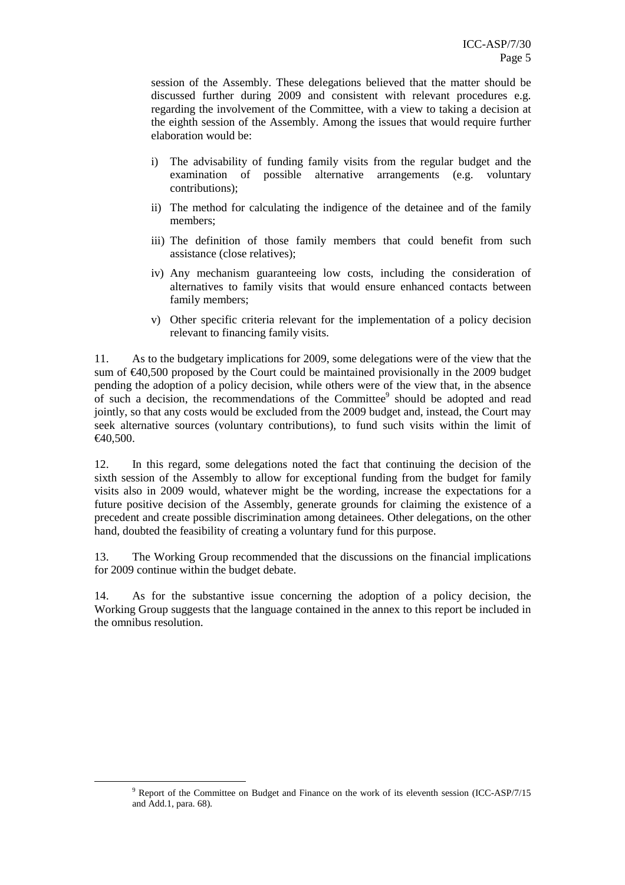session of the Assembly. These delegations believed that the matter should be discussed further during 2009 and consistent with relevant procedures e.g. regarding the involvement of the Committee, with a view to taking a decision at the eighth session of the Assembly. Among the issues that would require further elaboration would be:

- i) The advisability of funding family visits from the regular budget and the examination of possible alternative arrangements (e.g. voluntary contributions);
- ii) The method for calculating the indigence of the detainee and of the family members;
- iii) The definition of those family members that could benefit from such assistance (close relatives);
- iv) Any mechanism guaranteeing low costs, including the consideration of alternatives to family visits that would ensure enhanced contacts between family members;
- v) Other specific criteria relevant for the implementation of a policy decision relevant to financing family visits.

11. As to the budgetary implications for 2009, some delegations were of the view that the sum of  $\epsilon$ 40,500 proposed by the Court could be maintained provisionally in the 2009 budget pending the adoption of a policy decision, while others were of the view that, in the absence of such a decision, the recommendations of the Committee<sup>9</sup> should be adopted and read jointly, so that any costs would be excluded from the 2009 budget and, instead, the Court may seek alternative sources (voluntary contributions), to fund such visits within the limit of €40,500.

12. In this regard, some delegations noted the fact that continuing the decision of the sixth session of the Assembly to allow for exceptional funding from the budget for family visits also in 2009 would, whatever might be the wording, increase the expectations for a future positive decision of the Assembly, generate grounds for claiming the existence of a precedent and create possible discrimination among detainees. Other delegations, on the other hand, doubted the feasibility of creating a voluntary fund for this purpose.

13. The Working Group recommended that the discussions on the financial implications for 2009 continue within the budget debate.

14. As for the substantive issue concerning the adoption of a policy decision, the Working Group suggests that the language contained in the annex to this report be included in the omnibus resolution.

 $\overline{a}$ 

<sup>&</sup>lt;sup>9</sup> Report of the Committee on Budget and Finance on the work of its eleventh session (ICC-ASP/7/15 and Add.1, para. 68).